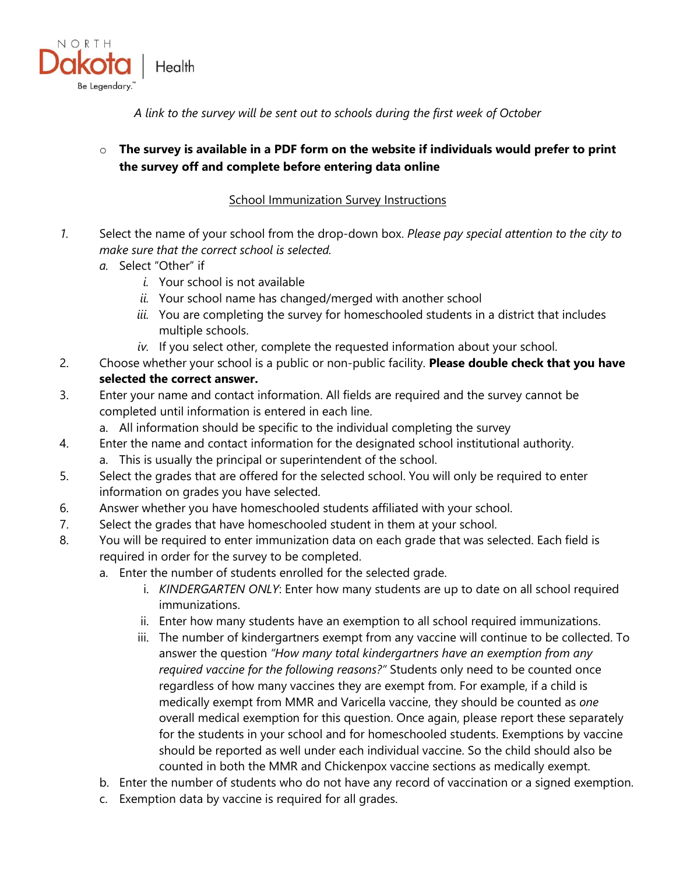

*A link to the survey will be sent out to schools during the first week of October*

## o **The survey is available in a PDF form on the website if individuals would prefer to print the survey off and complete before entering data online**

## **School Immunization Survey Instructions**

- *1.* Select the name of your school from the drop-down box. *Please pay special attention to the city to make sure that the correct school is selected.*
	- *a.* Select "Other" if
		- *i.* Your school is not available
		- *ii.* Your school name has changed/merged with another school
		- *iii.* You are completing the survey for homeschooled students in a district that includes multiple schools.
		- *iv.* If you select other, complete the requested information about your school.
- 2. Choose whether your school is a public or non-public facility. **Please double check that you have selected the correct answer.**
- 3. Enter your name and contact information. All fields are required and the survey cannot be completed until information is entered in each line.
	- a. All information should be specific to the individual completing the survey
- 4. Enter the name and contact information for the designated school institutional authority.
	- a. This is usually the principal or superintendent of the school.
- 5. Select the grades that are offered for the selected school. You will only be required to enter information on grades you have selected.
- 6. Answer whether you have homeschooled students affiliated with your school.
- 7. Select the grades that have homeschooled student in them at your school.
- 8. You will be required to enter immunization data on each grade that was selected. Each field is required in order for the survey to be completed.
	- a. Enter the number of students enrolled for the selected grade.
		- i. *KINDERGARTEN ONLY*: Enter how many students are up to date on all school required immunizations.
		- ii. Enter how many students have an exemption to all school required immunizations.
		- iii. The number of kindergartners exempt from any vaccine will continue to be collected. To answer the question *"How many total kindergartners have an exemption from any required vaccine for the following reasons?"* Students only need to be counted once regardless of how many vaccines they are exempt from. For example, if a child is medically exempt from MMR and Varicella vaccine, they should be counted as *one* overall medical exemption for this question. Once again, please report these separately for the students in your school and for homeschooled students. Exemptions by vaccine should be reported as well under each individual vaccine. So the child should also be counted in both the MMR and Chickenpox vaccine sections as medically exempt.
	- b. Enter the number of students who do not have any record of vaccination or a signed exemption.
	- c. Exemption data by vaccine is required for all grades.